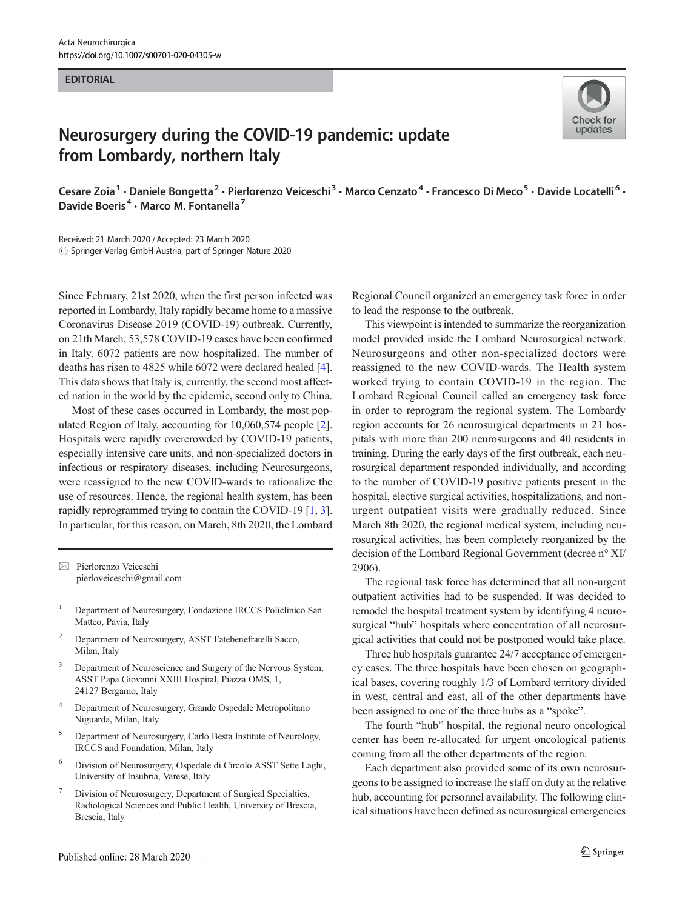## **EDITORIAL**



## Neurosurgery during the COVID-19 pandemic: update from Lombardy, northern Italy

Cesare Zoia<sup>1</sup> • Daniele Bongetta<sup>2</sup> • Pierlorenzo Veiceschi<sup>3</sup> • Marco Cenzato<sup>4</sup> • Francesco Di Meco<sup>5</sup> • Davide Locatelli<sup>6</sup> • Davide Boeris<sup>4</sup> · Marco M. Fontanella<sup>7</sup>

Received: 21 March 2020 /Accepted: 23 March 2020  $\circled{c}$  Springer-Verlag GmbH Austria, part of Springer Nature 2020

Since February, 21st 2020, when the first person infected was reported in Lombardy, Italy rapidly became home to a massive Coronavirus Disease 2019 (COVID-19) outbreak. Currently, on 21th March, 53,578 COVID-19 cases have been confirmed in Italy. 6072 patients are now hospitalized. The number of deaths has risen to 4825 while 6072 were declared healed [[4\]](#page-1-0). This data shows that Italy is, currently, the second most affected nation in the world by the epidemic, second only to China.

Most of these cases occurred in Lombardy, the most populated Region of Italy, accounting for 10,060,574 people [[2\]](#page-1-0). Hospitals were rapidly overcrowded by COVID-19 patients, especially intensive care units, and non-specialized doctors in infectious or respiratory diseases, including Neurosurgeons, were reassigned to the new COVID-wards to rationalize the use of resources. Hence, the regional health system, has been rapidly reprogrammed trying to contain the COVID-19 [\[1,](#page-1-0) [3\]](#page-1-0). In particular, for this reason, on March, 8th 2020, the Lombard

 $\boxtimes$  Pierlorenzo Veiceschi [pierloveiceschi@gmail.com](mailto:pierloveiceschi@gmail.com)

- <sup>1</sup> Department of Neurosurgery, Fondazione IRCCS Policlinico San Matteo, Pavia, Italy
- <sup>2</sup> Department of Neurosurgery, ASST Fatebenefratelli Sacco, Milan, Italy
- Department of Neuroscience and Surgery of the Nervous System, ASST Papa Giovanni XXIII Hospital, Piazza OMS, 1, 24127 Bergamo, Italy
- <sup>4</sup> Department of Neurosurgery, Grande Ospedale Metropolitano Niguarda, Milan, Italy
- <sup>5</sup> Department of Neurosurgery, Carlo Besta Institute of Neurology, IRCCS and Foundation, Milan, Italy
- <sup>6</sup> Division of Neurosurgery, Ospedale di Circolo ASST Sette Laghi, University of Insubria, Varese, Italy
- <sup>7</sup> Division of Neurosurgery, Department of Surgical Specialties, Radiological Sciences and Public Health, University of Brescia, Brescia, Italy

Regional Council organized an emergency task force in order to lead the response to the outbreak.

This viewpoint is intended to summarize the reorganization model provided inside the Lombard Neurosurgical network. Neurosurgeons and other non-specialized doctors were reassigned to the new COVID-wards. The Health system worked trying to contain COVID-19 in the region. The Lombard Regional Council called an emergency task force in order to reprogram the regional system. The Lombardy region accounts for 26 neurosurgical departments in 21 hospitals with more than 200 neurosurgeons and 40 residents in training. During the early days of the first outbreak, each neurosurgical department responded individually, and according to the number of COVID-19 positive patients present in the hospital, elective surgical activities, hospitalizations, and nonurgent outpatient visits were gradually reduced. Since March 8th 2020, the regional medical system, including neurosurgical activities, has been completely reorganized by the decision of the Lombard Regional Government (decree n° XI/ 2906).

The regional task force has determined that all non-urgent outpatient activities had to be suspended. It was decided to remodel the hospital treatment system by identifying 4 neurosurgical "hub" hospitals where concentration of all neurosurgical activities that could not be postponed would take place.

Three hub hospitals guarantee 24/7 acceptance of emergency cases. The three hospitals have been chosen on geographical bases, covering roughly 1/3 of Lombard territory divided in west, central and east, all of the other departments have been assigned to one of the three hubs as a "spoke".

The fourth "hub" hospital, the regional neuro oncological center has been re-allocated for urgent oncological patients coming from all the other departments of the region.

Each department also provided some of its own neurosurgeons to be assigned to increase the staff on duty at the relative hub, accounting for personnel availability. The following clinical situations have been defined as neurosurgical emergencies